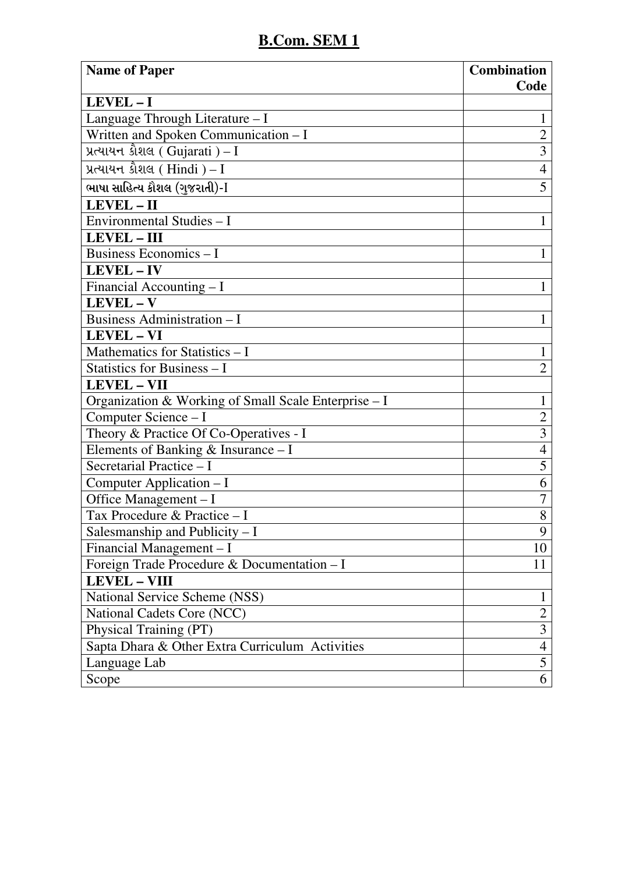| <b>Name of Paper</b>                                 | <b>Combination</b><br>Code |
|------------------------------------------------------|----------------------------|
| LEVEL-I                                              |                            |
| Language Through Literature - I                      | 1                          |
| Written and Spoken Communication - I                 | $\overline{2}$             |
| પ્રત્યાયન કૌશલ ( Gujarati ) – I                      | $\overline{3}$             |
| પ્રત્યાયન કૌશલ (Hindi) – $I$                         | $\overline{4}$             |
| ભાષા સાહિત્ય કૌશલ (ગુજરાતી)-I                        | 5                          |
| LEVEL - II                                           |                            |
| Environmental Studies - I                            | $\mathbf{1}$               |
| <b>LEVEL-III</b>                                     |                            |
| <b>Business Economics - I</b>                        | 1                          |
| <b>LEVEL-IV</b>                                      |                            |
| Financial Accounting - I                             | $\mathbf{1}$               |
| LEVEL - V                                            |                            |
| <b>Business Administration - I</b>                   | $\mathbf{1}$               |
| <b>LEVEL - VI</b>                                    |                            |
| Mathematics for Statistics - I                       | $\mathbf{1}$               |
| Statistics for Business - I                          | $\overline{2}$             |
| <b>LEVEL - VII</b>                                   |                            |
| Organization & Working of Small Scale Enterprise - I | $\mathbf{1}$               |
| Computer Science - I                                 | $\overline{2}$             |
| Theory & Practice Of Co-Operatives - I               | $\overline{\mathbf{3}}$    |
| Elements of Banking $&$ Insurance - I                | $\overline{4}$             |
| Secretarial Practice - I                             | 5                          |
| Computer Application – I                             | 6                          |
| Office Management - I                                | $\overline{7}$             |
| Tax Procedure & Practice - I                         | 8                          |
| Salesmanship and Publicity $-I$                      | 9                          |
| Financial Management - I                             | 10                         |
| Foreign Trade Procedure & Documentation - I          | 11                         |
| <b>LEVEL - VIII</b>                                  |                            |
| National Service Scheme (NSS)                        | 1                          |
| National Cadets Core (NCC)                           | $\overline{2}$             |
| Physical Training (PT)                               | 3                          |
| Sapta Dhara & Other Extra Curriculum Activities      | $\overline{4}$             |
| Language Lab                                         | 5                          |
| Scope                                                | 6                          |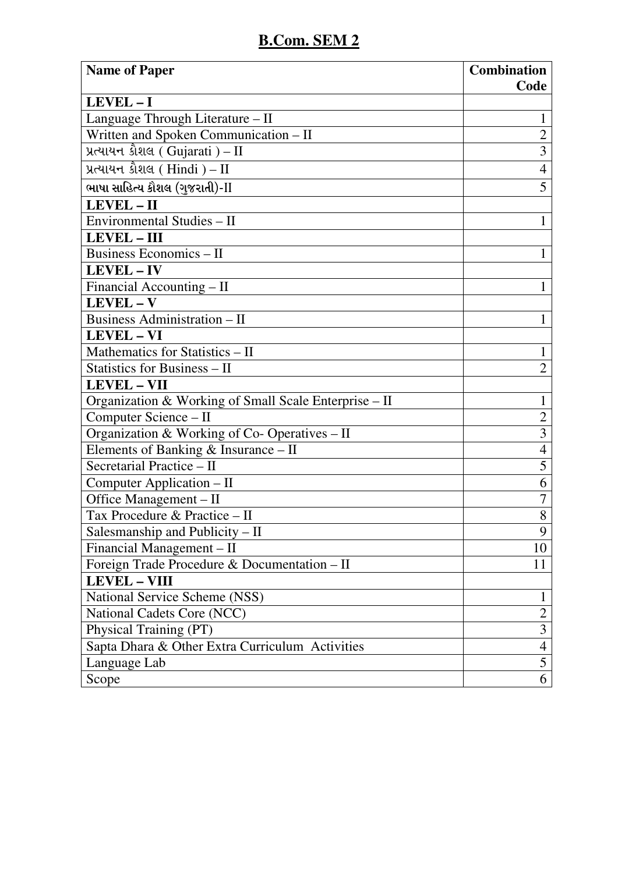| <b>Name of Paper</b>                                  | <b>Combination</b>      |
|-------------------------------------------------------|-------------------------|
|                                                       | Code                    |
| LEVEL-I                                               |                         |
| Language Through Literature - II                      |                         |
| Written and Spoken Communication – II                 | $\overline{2}$          |
| પ્રત્યાયન કૌશલ (Gujarati) - II                        | $\overline{3}$          |
| પ્રત્યાયન કૌશલ (Hindi) – $\text{II}$                  | $\overline{4}$          |
| ભાષા સાહિત્ય કૌશલ (ગુજરાતી)-II                        | 5                       |
| LEVEL-II                                              |                         |
| Environmental Studies - II                            | $\mathbf{1}$            |
| <b>LEVEL-III</b>                                      |                         |
| <b>Business Economics - II</b>                        | 1                       |
| <b>LEVEL-IV</b>                                       |                         |
| Financial Accounting - II                             | 1                       |
| LEVEL-V                                               |                         |
| <b>Business Administration - II</b>                   | $\mathbf{1}$            |
| <b>LEVEL - VI</b>                                     |                         |
| Mathematics for Statistics - II                       | $\mathbf{1}$            |
| Statistics for Business - II                          | $\overline{2}$          |
| <b>LEVEL - VII</b>                                    |                         |
| Organization & Working of Small Scale Enterprise - II | $\mathbf{1}$            |
| Computer Science - II                                 | $\overline{2}$          |
| Organization & Working of Co- Operatives - II         | $\overline{3}$          |
| Elements of Banking & Insurance - II                  | $\overline{4}$          |
| Secretarial Practice - II                             | 5                       |
| Computer Application - II                             | 6                       |
| Office Management - II                                | $\overline{7}$          |
| Tax Procedure & Practice - II                         | 8                       |
| Salesmanship and Publicity $-$ II                     | 9                       |
| Financial Management – II                             | 10                      |
| Foreign Trade Procedure & Documentation - II          | 11                      |
| <b>LEVEL - VIII</b>                                   |                         |
| National Service Scheme (NSS)                         | 1                       |
| National Cadets Core (NCC)                            | $\overline{2}$          |
| Physical Training (PT)                                | $\overline{\mathbf{3}}$ |
| Sapta Dhara & Other Extra Curriculum Activities       | $\overline{4}$          |
| Language Lab                                          | 5                       |
| Scope                                                 | 6                       |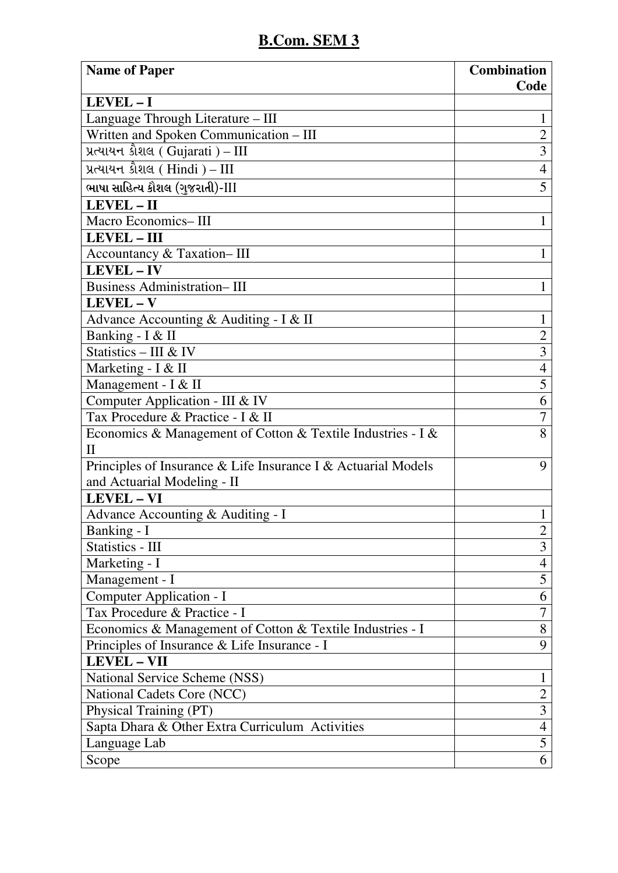| <b>Name of Paper</b>                                                        | <b>Combination</b><br>Code |
|-----------------------------------------------------------------------------|----------------------------|
| LEVEL-I                                                                     |                            |
| Language Through Literature - III                                           | $\mathbf{1}$               |
| Written and Spoken Communication - III                                      | $\overline{2}$             |
| પ્રત્યાયન કૌશલ ( Gujarati ) – $\text{III}$                                  | $\overline{3}$             |
| પ્રત્યાયન કૌશલ ( Hindi ) – $\scriptstyle\rm III$                            | $\overline{4}$             |
| ભાષા સાહિત્ય કૌશલ (ગુજરાતી)-III                                             | 5                          |
| LEVEL - II                                                                  |                            |
| Macro Economics-III                                                         | $\mathbf{1}$               |
| <b>LEVEL - III</b>                                                          |                            |
| Accountancy & Taxation-III                                                  | 1                          |
| LEVEL - IV                                                                  |                            |
| <b>Business Administration-III</b>                                          | $\mathbf{1}$               |
| LEVEL - V                                                                   |                            |
| Advance Accounting & Auditing - I & II                                      | $\mathbf{1}$               |
| Banking - I & II                                                            | $\overline{2}$             |
| Statistics - III & IV                                                       | 3                          |
| Marketing - I & II                                                          | $\overline{4}$             |
| Management - I & II                                                         | 5                          |
| Computer Application - III & IV                                             | 6                          |
| Tax Procedure & Practice - I & II                                           | 7                          |
| Economics & Management of Cotton & Textile Industries - I &<br>$\mathbf{H}$ | 8                          |
| Principles of Insurance & Life Insurance I & Actuarial Models               | 9                          |
| and Actuarial Modeling - II                                                 |                            |
| <b>LEVEL-VI</b>                                                             |                            |
| Advance Accounting & Auditing - I                                           | $\mathbf 1$                |
| Banking - I                                                                 | $\overline{c}$             |
| Statistics - III                                                            | $\overline{3}$             |
| Marketing - I                                                               | $\overline{4}$             |
| Management - I                                                              | 5                          |
| Computer Application - I                                                    | 6                          |
| Tax Procedure & Practice - I                                                | $\overline{7}$             |
| Economics & Management of Cotton & Textile Industries - I                   | 8                          |
| Principles of Insurance & Life Insurance - I                                | 9                          |
| <b>LEVEL - VII</b>                                                          |                            |
| National Service Scheme (NSS)                                               | $\mathbf{1}$               |
| National Cadets Core (NCC)                                                  | $\overline{2}$             |
| Physical Training (PT)                                                      | 3                          |
| Sapta Dhara & Other Extra Curriculum Activities                             | $\overline{4}$             |
| Language Lab                                                                | 5                          |
| Scope                                                                       | 6                          |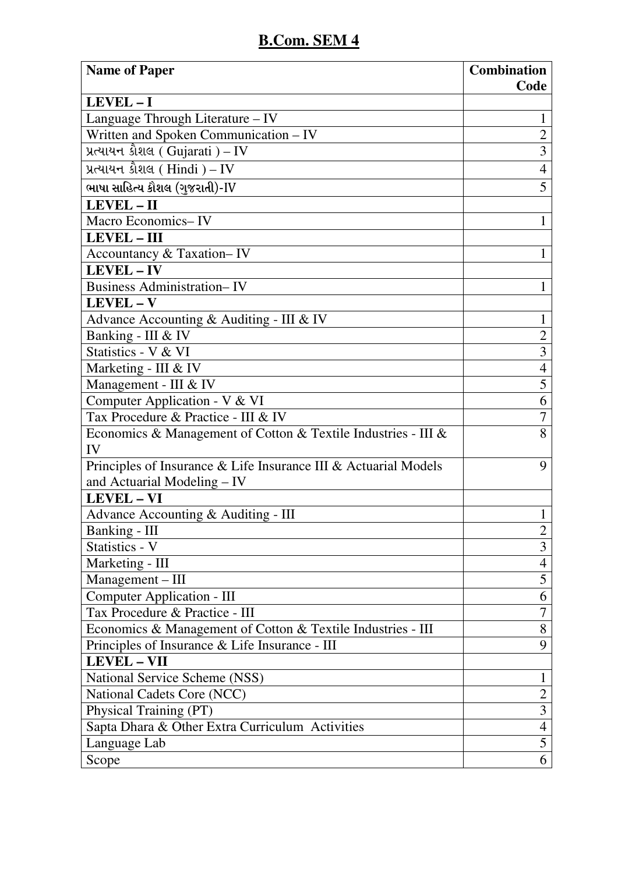| <b>Name of Paper</b>                                                | <b>Combination</b> |
|---------------------------------------------------------------------|--------------------|
|                                                                     | Code               |
| LEVEL-I                                                             |                    |
| Language Through Literature - IV                                    | 1                  |
| Written and Spoken Communication - IV                               | $\overline{2}$     |
| પ્રત્યાયન કૌશલ ( Gujarati ) – IV                                    | $\overline{3}$     |
| પ્રત્યાયન કૌશલ ( $\text{Hindi }$ ) – $\text{IV}$                    | $\overline{4}$     |
| ભાષા સાહિત્ય કૌશલ (ગુજરાતી)-IV                                      | 5                  |
| LEVEL - II                                                          |                    |
| Macro Economics-IV                                                  | $\mathbf{1}$       |
| LEVEL - III                                                         |                    |
| Accountancy & Taxation-IV                                           | 1                  |
| <b>LEVEL-IV</b>                                                     |                    |
| <b>Business Administration-IV</b>                                   | $\mathbf{1}$       |
| LEVEL-V                                                             |                    |
| Advance Accounting & Auditing - III & IV                            | 1                  |
| Banking - III & IV                                                  | $\overline{2}$     |
| Statistics - V & VI                                                 | 3                  |
| Marketing - III & IV                                                | $\overline{4}$     |
| Management - III & IV                                               | 5                  |
| Computer Application - V & VI                                       | 6                  |
| Tax Procedure & Practice - III & IV                                 | 7                  |
| Economics & Management of Cotton & Textile Industries - III &<br>IV | 8                  |
| Principles of Insurance & Life Insurance III & Actuarial Models     | 9                  |
| and Actuarial Modeling - IV                                         |                    |
| <b>LEVEL - VI</b>                                                   |                    |
| Advance Accounting & Auditing - III                                 | 1                  |
| Banking - III                                                       | $\overline{2}$     |
| Statistics - V                                                      | 3                  |
| Marketing - III                                                     | 4                  |
| Management - III                                                    | 5                  |
| <b>Computer Application - III</b>                                   | 6                  |
| Tax Procedure & Practice - III                                      | 7                  |
| Economics & Management of Cotton & Textile Industries - III         | 8                  |
| Principles of Insurance & Life Insurance - III                      | 9                  |
| <b>LEVEL - VII</b>                                                  |                    |
| National Service Scheme (NSS)                                       | $\mathbf{1}$       |
| National Cadets Core (NCC)                                          | $\overline{2}$     |
| Physical Training (PT)                                              | 3                  |
| Sapta Dhara & Other Extra Curriculum Activities                     | $\overline{4}$     |
| Language Lab                                                        | 5                  |
| Scope                                                               | 6                  |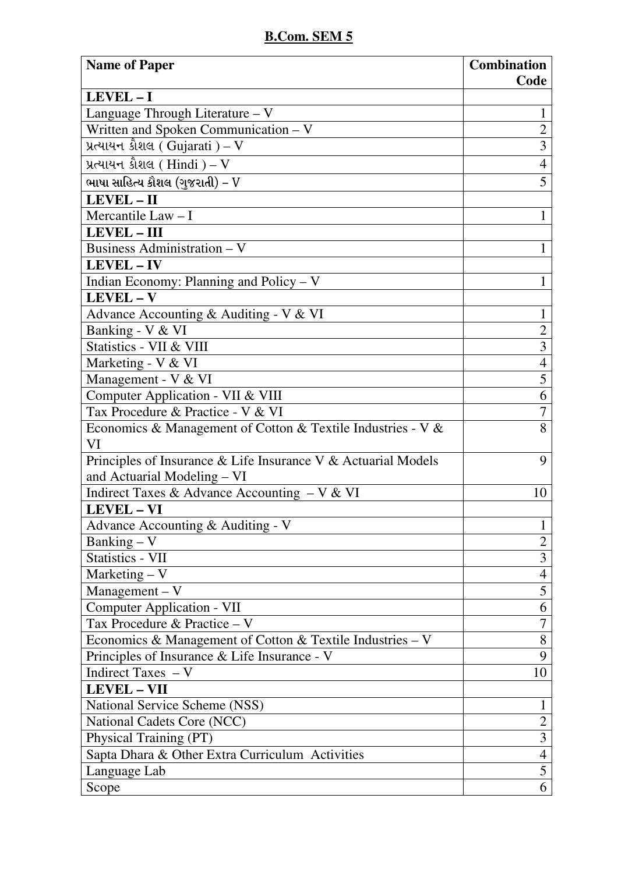| <b>Name of Paper</b>                                          | <b>Combination</b> |
|---------------------------------------------------------------|--------------------|
| LEVEL-I                                                       | Code               |
| Language Through Literature - V                               |                    |
| Written and Spoken Communication - V                          | $\overline{2}$     |
| પ્રત્યાયન કૌશલ ( Gujarati ) – $V$                             | $\overline{3}$     |
|                                                               | $\overline{4}$     |
| પ્રત્યાયન કૌશલ (Hindi) – $V$                                  |                    |
| ભાષા સાહિત્ય કૌશલ (ગુજરાતી) – V                               | 5                  |
| LEVEL-II                                                      |                    |
| Mercantile Law $-$ I                                          | 1                  |
| <b>LEVEL - III</b>                                            |                    |
| <b>Business Administration - V</b>                            | $\mathbf{1}$       |
| LEVEL - IV                                                    |                    |
| Indian Economy: Planning and Policy - V                       | 1                  |
| LEVEL-V                                                       |                    |
| Advance Accounting & Auditing - V & VI                        | $\mathbf{1}$       |
| Banking - V & VI                                              | $\overline{2}$     |
| Statistics - VII & VIII                                       | $\overline{3}$     |
| Marketing - V & VI                                            | $\overline{4}$     |
| Management - V & VI                                           | $\overline{5}$     |
| Computer Application - VII & VIII                             | 6                  |
| Tax Procedure & Practice - V & VI                             | 7                  |
| Economics & Management of Cotton & Textile Industries - V &   | 8                  |
| VI                                                            |                    |
| Principles of Insurance & Life Insurance V & Actuarial Models | 9                  |
| and Actuarial Modeling - VI                                   |                    |
| Indirect Taxes & Advance Accounting - V & VI                  | 10                 |
| LEVEL - VI                                                    |                    |
| Advance Accounting & Auditing - V                             | 1                  |
| Banking $- V$                                                 | $\overline{2}$     |
| <b>Statistics - VII</b>                                       | 3                  |
| Marketing $- V$                                               | $\overline{4}$     |
| $Management - V$                                              | 5                  |
| Computer Application - VII                                    | 6                  |
| Tax Procedure & Practice - V                                  | $\overline{7}$     |
| Economics & Management of Cotton & Textile Industries – V     | 8                  |
| Principles of Insurance & Life Insurance - V                  | 9                  |
| Indirect Taxes $-V$                                           | 10                 |
| <b>LEVEL - VII</b>                                            |                    |
| National Service Scheme (NSS)                                 | 1                  |
| National Cadets Core (NCC)                                    | $\overline{2}$     |
| Physical Training (PT)                                        | $\overline{3}$     |
| Sapta Dhara & Other Extra Curriculum Activities               | $\overline{4}$     |
| Language Lab                                                  | 5                  |
| Scope                                                         | 6                  |